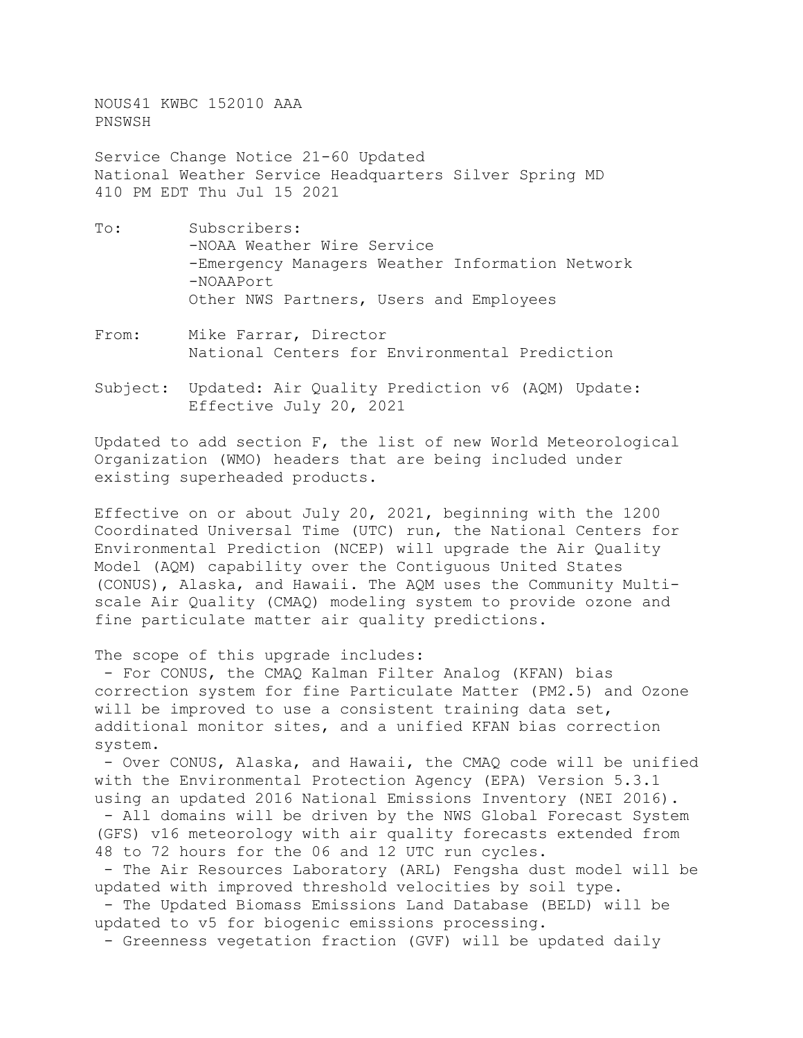NOUS41 KWBC 152010 AAA PNSWSH

Service Change Notice 21-60 Updated National Weather Service Headquarters Silver Spring MD 410 PM EDT Thu Jul 15 2021

- To: Subscribers: -NOAA Weather Wire Service -Emergency Managers Weather Information Network -NOAAPort Other NWS Partners, Users and Employees
- From: Mike Farrar, Director National Centers for Environmental Prediction
- Subject: Updated: Air Quality Prediction v6 (AQM) Update: Effective July 20, 2021

Updated to add section F, the list of new World Meteorological Organization (WMO) headers that are being included under existing superheaded products.

Effective on or about July 20, 2021, beginning with the 1200 Coordinated Universal Time (UTC) run, the National Centers for Environmental Prediction (NCEP) will upgrade the Air Quality Model (AQM) capability over the Contiguous United States (CONUS), Alaska, and Hawaii. The AQM uses the Community Multiscale Air Quality (CMAQ) modeling system to provide ozone and fine particulate matter air quality predictions.

The scope of this upgrade includes:

- For CONUS, the CMAQ Kalman Filter Analog (KFAN) bias correction system for fine Particulate Matter (PM2.5) and Ozone will be improved to use a consistent training data set, additional monitor sites, and a unified KFAN bias correction system.

- Over CONUS, Alaska, and Hawaii, the CMAQ code will be unified with the Environmental Protection Agency (EPA) Version 5.3.1 using an updated 2016 National Emissions Inventory (NEI 2016). - All domains will be driven by the NWS Global Forecast System (GFS) v16 meteorology with air quality forecasts extended from 48 to 72 hours for the 06 and 12 UTC run cycles.

- The Air Resources Laboratory (ARL) Fengsha dust model will be updated with improved threshold velocities by soil type.

- The Updated Biomass Emissions Land Database (BELD) will be updated to v5 for biogenic emissions processing.

- Greenness vegetation fraction (GVF) will be updated daily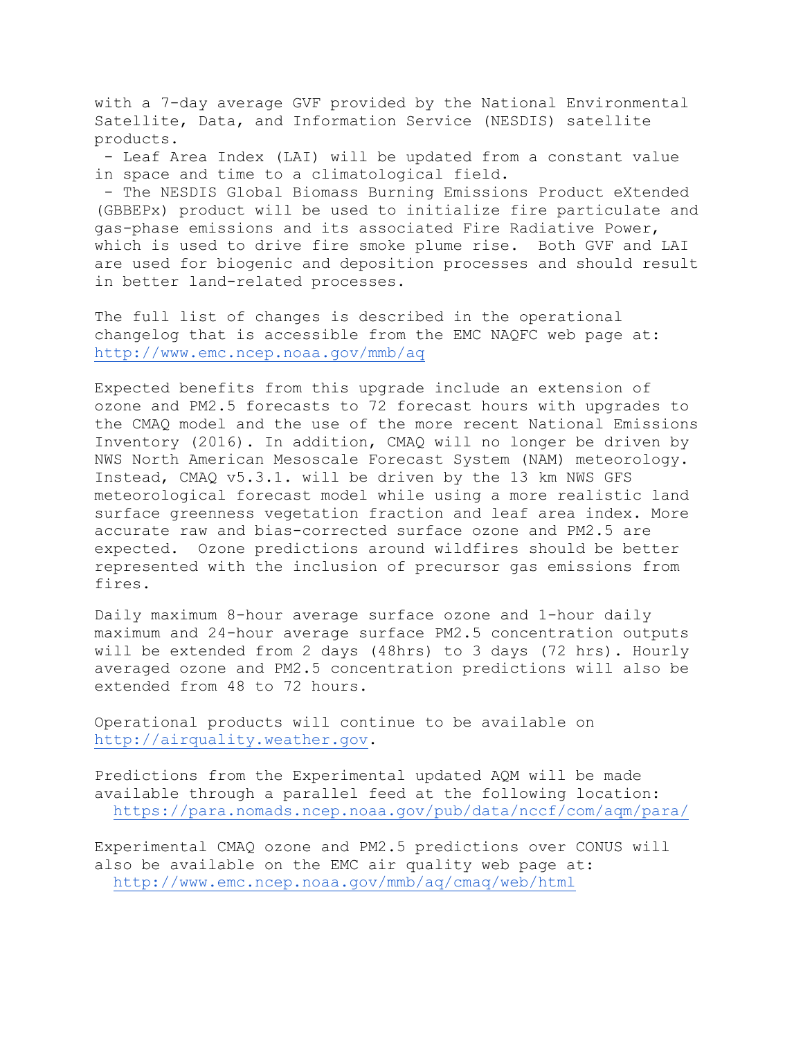with a 7-day average GVF provided by the National Environmental Satellite, Data, and Information Service (NESDIS) satellite products.

- Leaf Area Index (LAI) will be updated from a constant value in space and time to a climatological field.

- The NESDIS Global Biomass Burning Emissions Product eXtended (GBBEPx) product will be used to initialize fire particulate and gas-phase emissions and its associated Fire Radiative Power, which is used to drive fire smoke plume rise. Both GVF and LAI are used for biogenic and deposition processes and should result in better land-related processes.

The full list of changes is described in the operational changelog that is accessible from the EMC NAQFC web page at: <http://www.emc.ncep.noaa.gov/mmb/aq>

Expected benefits from this upgrade include an extension of ozone and PM2.5 forecasts to 72 forecast hours with upgrades to the CMAQ model and the use of the more recent National Emissions Inventory (2016). In addition, CMAQ will no longer be driven by NWS North American Mesoscale Forecast System (NAM) meteorology. Instead, CMAQ v5.3.1. will be driven by the 13 km NWS GFS meteorological forecast model while using a more realistic land surface greenness vegetation fraction and leaf area index. More accurate raw and bias-corrected surface ozone and PM2.5 are expected. Ozone predictions around wildfires should be better represented with the inclusion of precursor gas emissions from fires.

Daily maximum 8-hour average surface ozone and 1-hour daily maximum and 24-hour average surface PM2.5 concentration outputs will be extended from 2 days (48hrs) to 3 days (72 hrs). Hourly averaged ozone and PM2.5 concentration predictions will also be extended from 48 to 72 hours.

Operational products will continue to be available on [http://airquality.weather.gov.](http://airquality.weather.gov/)

Predictions from the Experimental updated AQM will be made available through a parallel feed at the following location: <https://para.nomads.ncep.noaa.gov/pub/data/nccf/com/aqm/para/>

Experimental CMAQ ozone and PM2.5 predictions over CONUS will also be available on the EMC air quality web page at: <http://www.emc.ncep.noaa.gov/mmb/aq/cmaq/web/html>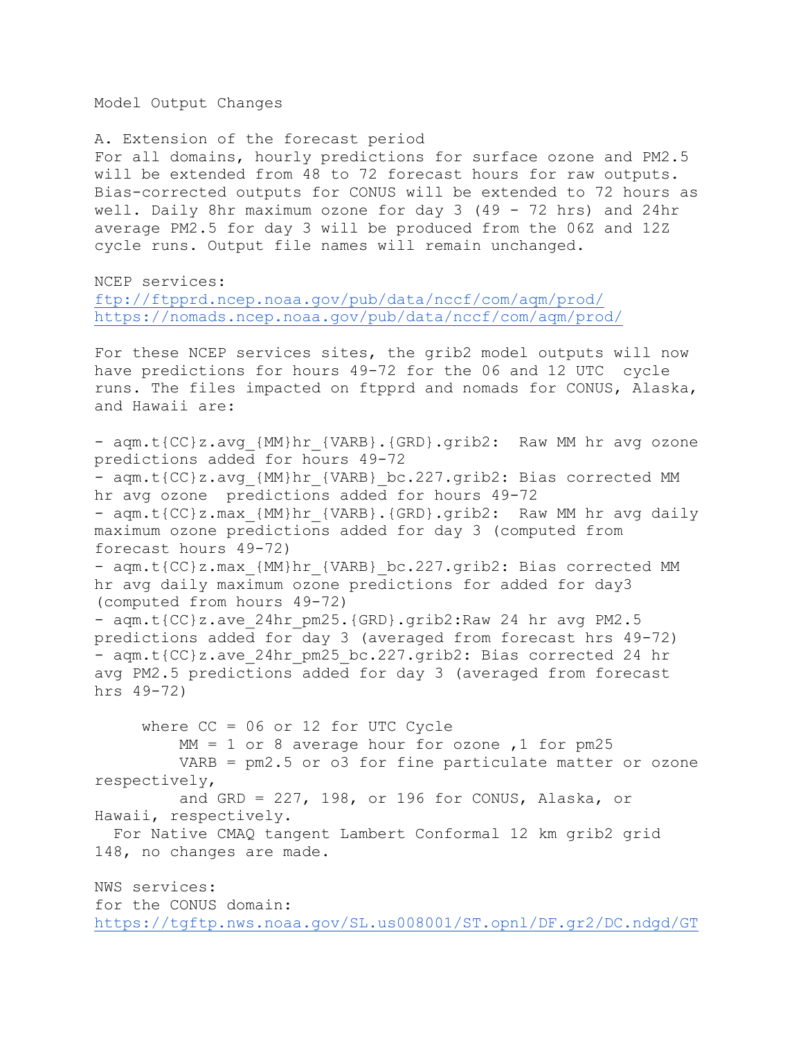Model Output Changes

A. Extension of the forecast period

For all domains, hourly predictions for surface ozone and PM2.5 will be extended from 48 to 72 forecast hours for raw outputs. Bias-corrected outputs for CONUS will be extended to 72 hours as well. Daily 8hr maximum ozone for day 3 (49 - 72 hrs) and 24hr average PM2.5 for day 3 will be produced from the 06Z and 12Z cycle runs. Output file names will remain unchanged.

NCEP services:

[ftp://ftpprd.ncep.noaa.gov/pub/data/nccf/com/aqm/prod/](https://ftpprd.ncep.noaa.gov/data/nccf/com/aqm/prod/) <https://nomads.ncep.noaa.gov/pub/data/nccf/com/aqm/prod/>

For these NCEP services sites, the grib2 model outputs will now have predictions for hours 49-72 for the 06 and 12 UTC cycle runs. The files impacted on ftpprd and nomads for CONUS, Alaska, and Hawaii are:

- aqm.t{CC}z.avg {MM}hr {VARB}.{GRD}.grib2: Raw MM hr avg ozone predictions added for hours 49-72 - aqm.t{CC}z.avg {MM}hr {VARB} bc.227.grib2: Bias corrected MM hr avg ozone predictions added for hours 49-72 - aqm.t{CC}z.max {MM}hr {VARB}.{GRD}.grib2: Raw MM hr avg daily maximum ozone predictions added for day 3 (computed from forecast hours 49-72) - aqm.t{CC}z.max {MM}hr {VARB} bc.227.grib2: Bias corrected MM hr avg daily maximum ozone predictions for added for day3 (computed from hours 49-72) - aqm.t{CC}z.ave 24hr pm25.{GRD}.grib2:Raw 24 hr avg PM2.5 predictions added for day 3 (averaged from forecast hrs 49-72) - aqm.t{CC}z.ave 24hr pm25 bc.227.grib2: Bias corrected 24 hr avg PM2.5 predictions added for day 3 (averaged from forecast hrs 49-72) where CC = 06 or 12 for UTC Cycle  $MM = 1$  or 8 average hour for ozone, 1 for pm25 VARB = pm2.5 or o3 for fine particulate matter or ozone respectively, and GRD = 227, 198, or 196 for CONUS, Alaska, or Hawaii, respectively.

 For Native CMAQ tangent Lambert Conformal 12 km grib2 grid 148, no changes are made.

NWS services: for the CONUS domain: [https://tgftp.nws.noaa.gov/SL.us008001/ST.opnl/DF.gr2/DC.ndgd/GT](https://tgftp.nws.noaa.gov/SL.us008001/ST.opnl/DF.gr2/DC.ndgd/GT.aq/AR.conus)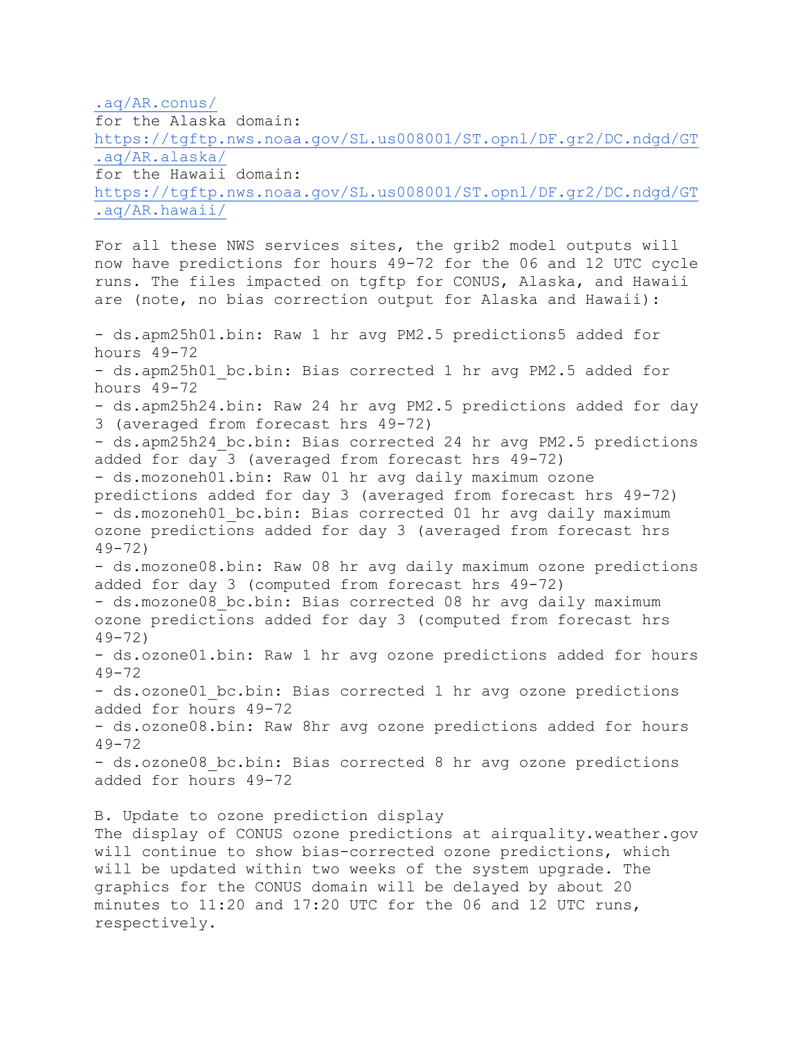[.aq/AR.conus/](https://tgftp.nws.noaa.gov/SL.us008001/ST.opnl/DF.gr2/DC.ndgd/GT.aq/AR.conus) 

for the Alaska domain: [https://tgftp.nws.noaa.gov/SL.us008001/ST.opnl/DF.gr2/DC.ndgd/GT](https://tgftp.nws.noaa.gov/SL.us008001/ST.opnl/DF.gr2/DC.ndgd/GT.aq/AR.alaska/) [.aq/AR.alaska/](https://tgftp.nws.noaa.gov/SL.us008001/ST.opnl/DF.gr2/DC.ndgd/GT.aq/AR.alaska/)  for the Hawaii domain: [https://tgftp.nws.noaa.gov/SL.us008001/ST.opnl/DF.gr2/DC.ndgd/GT](https://tgftp.nws.noaa.gov/SL.us008001/ST.opnl/DF.gr2/DC.ndgd/GT.aq/AR.conus/) [.aq/AR.hawaii/](https://tgftp.nws.noaa.gov/SL.us008001/ST.opnl/DF.gr2/DC.ndgd/GT.aq/AR.conus/) 

For all these NWS services sites, the grib2 model outputs will now have predictions for hours 49-72 for the 06 and 12 UTC cycle runs. The files impacted on tgftp for CONUS, Alaska, and Hawaii are (note, no bias correction output for Alaska and Hawaii):

- ds.apm25h01.bin: Raw 1 hr avg PM2.5 predictions5 added for hours 49-72 - ds.apm25h01 bc.bin: Bias corrected 1 hr avg PM2.5 added for hours 49-72 - ds.apm25h24.bin: Raw 24 hr avg PM2.5 predictions added for day 3 (averaged from forecast hrs 49-72) - ds.apm25h24 bc.bin: Bias corrected 24 hr avg PM2.5 predictions added for day 3 (averaged from forecast hrs 49-72) - ds.mozoneh01.bin: Raw 01 hr avg daily maximum ozone predictions added for day 3 (averaged from forecast hrs 49-72) - ds.mozoneh01 bc.bin: Bias corrected 01 hr avg daily maximum ozone predictions added for day 3 (averaged from forecast hrs 49-72) - ds.mozone08.bin: Raw 08 hr avg daily maximum ozone predictions added for day 3 (computed from forecast hrs 49-72) - ds.mozone08 bc.bin: Bias corrected 08 hr avg daily maximum ozone predictions added for day 3 (computed from forecast hrs 49-72) - ds.ozone01.bin: Raw 1 hr avg ozone predictions added for hours  $49 - 72$ - ds.ozone01 bc.bin: Bias corrected 1 hr avg ozone predictions added for hours 49-72 - ds.ozone08.bin: Raw 8hr avg ozone predictions added for hours 49-72 - ds.ozone08 bc.bin: Bias corrected 8 hr avg ozone predictions added for hours 49-72 B. Update to ozone prediction display The display of CONUS ozone predictions at airquality.weather.gov will continue to show bias-corrected ozone predictions, which will be updated within two weeks of the system upgrade. The graphics for the CONUS domain will be delayed by about 20 minutes to 11:20 and 17:20 UTC for the 06 and 12 UTC runs, respectively.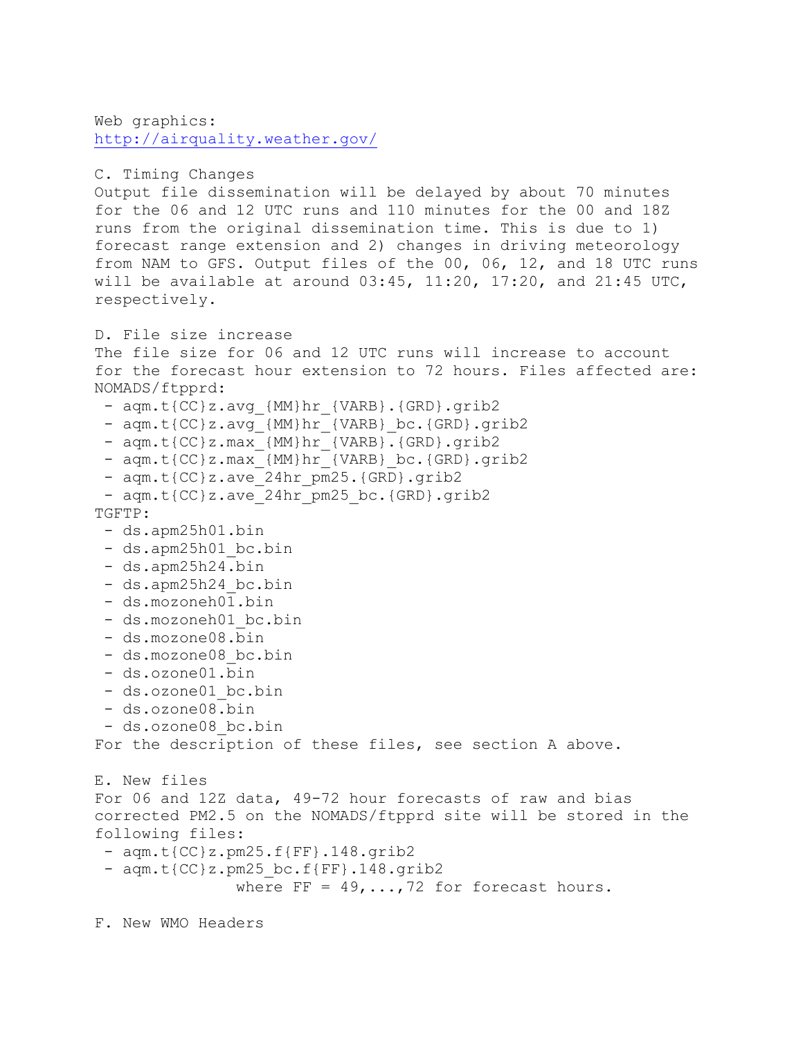Web graphics: <http://airquality.weather.gov/>

```
C. Timing Changes
```
Output file dissemination will be delayed by about 70 minutes for the 06 and 12 UTC runs and 110 minutes for the 00 and 18Z runs from the original dissemination time. This is due to 1) forecast range extension and 2) changes in driving meteorology from NAM to GFS. Output files of the 00, 06, 12, and 18 UTC runs will be available at around  $03:45$ ,  $11:20$ ,  $17:20$ , and  $21:45$  UTC, respectively.

D. File size increase

The file size for 06 and 12 UTC runs will increase to account for the forecast hour extension to 72 hours. Files affected are: NOMADS/ftpprd:

- aqm.t{CC}z.avg {MM}hr {VARB}.{GRD}.grib2
- aqm.t{CC}z.avg {MM}hr {VARB} bc.{GRD}.grib2
- aqm.t{CC}z.max\_{MM}hr\_{VARB}.{GRD}.grib2
- aqm.t{CC}z.max {MM}hr {VARB} bc.{GRD}.grib2
- aqm.t{CC}z.ave 24hr pm25.{GRD}.grib2
- aqm.t{CC}z.ave 24hr pm25 bc.{GRD}.grib2 TGFTP:
	- ds.apm25h01.bin
	- ds.apm25h01 bc.bin
	- ds.apm25h24.bin
	- ds.apm25h24 bc.bin
	- ds.mozoneh01.bin
	- ds.mozoneh01 bc.bin
	- ds.mozone08.bin
	- ds.mozone08 bc.bin
	- ds.ozone01.bin
	- ds.ozone01 bc.bin
	- ds.ozone08.bin
	- ds.ozone08 bc.bin

For the description of these files, see section A above.

```
E. New files
For 06 and 12Z data, 49-72 hour forecasts of raw and bias
corrected PM2.5 on the NOMADS/ftpprd site will be stored in the
following files:
```
- aqm.t{CC}z.pm25.f{FF}.148.grib2
- aqm.t{CC}z.pm25 bc.f{FF}.148.grib2 where  $FF = 49, \ldots, 72$  for forecast hours.

F. New WMO Headers